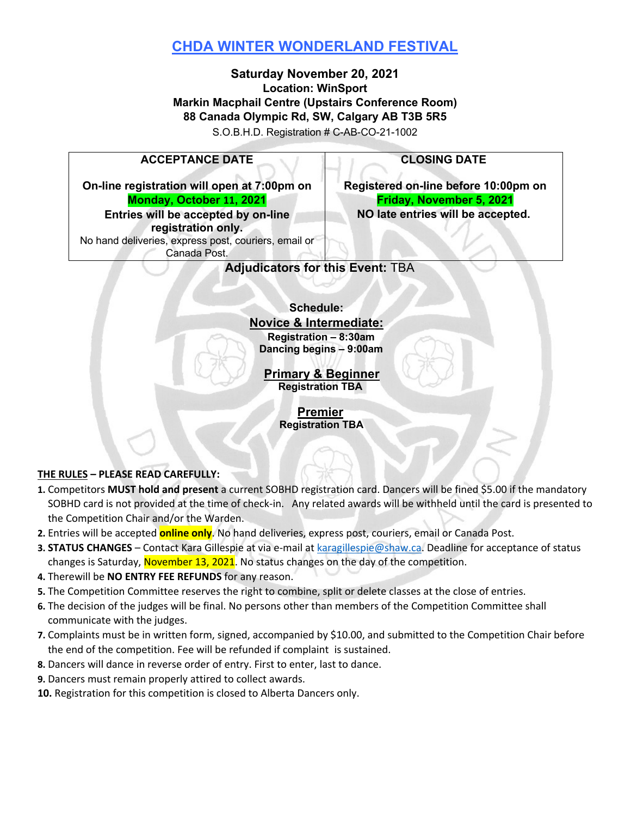# **CHDA WINTER WONDERLAND FESTIVAL**

## **Saturday November 20, 2021 Location: WinSport Markin Macphail Centre (Upstairs Conference Room) 88 Canada Olympic Rd, SW, Calgary AB T3B 5R5**

S.O.B.H.D. Registration # C-AB-CO-21-1002

## **ACCEPTANCE DATE**

**On-line registration will open at 7:00pm on Monday, October 11, 2021 Entries will be accepted by on-line** 

Canada Post.

**registration only.** 

No hand deliveries, express post, couriers, email or

**CLOSING DATE** 

**Registered on-line before 10:00pm on Friday, November 5, 2021 NO late entries will be accepted.** 

## **Adjudicators for this Event:** TBA

#### **Schedule: Novice & Intermediate:**

**Registration – 8:30am Dancing begins – 9:00am**

**Primary & Beginner Registration TBA**

> **Premier Registration TBA**

#### **THE RULES – PLEASE READ CAREFULLY:**

- **1.** Competitors **MUST hold and present** a current SOBHD registration card. Dancers will be fined \$5.00 if the mandatory SOBHD card is not provided at the time of check-in. Any related awards will be withheld until the card is presented to the Competition Chair and/or the Warden.
- **2.** Entries will be accepted **online only**. No hand deliveries, express post, couriers, email or Canada Post.
- **3. STATUS CHANGES**  Contact Kara Gillespie at via e-mail at karagillespie@shaw.ca. Deadline for acceptance of status changes is Saturday, November 13, 2021. No status changes on the day of the competition.
- **4.** Therewill be **NO ENTRY FEE REFUNDS** for any reason.
- **5.** The Competition Committee reserves the right to combine, split or delete classes at the close of entries.
- **6.** The decision of the judges will be final. No persons other than members of the Competition Committee shall communicate with the judges.
- **7.** Complaints must be in written form, signed, accompanied by \$10.00, and submitted to the Competition Chair before the end of the competition. Fee will be refunded if complaint is sustained.
- **8.** Dancers will dance in reverse order of entry. First to enter, last to dance.
- **9.** Dancers must remain properly attired to collect awards.
- **10.** Registration for this competition is closed to Alberta Dancers only.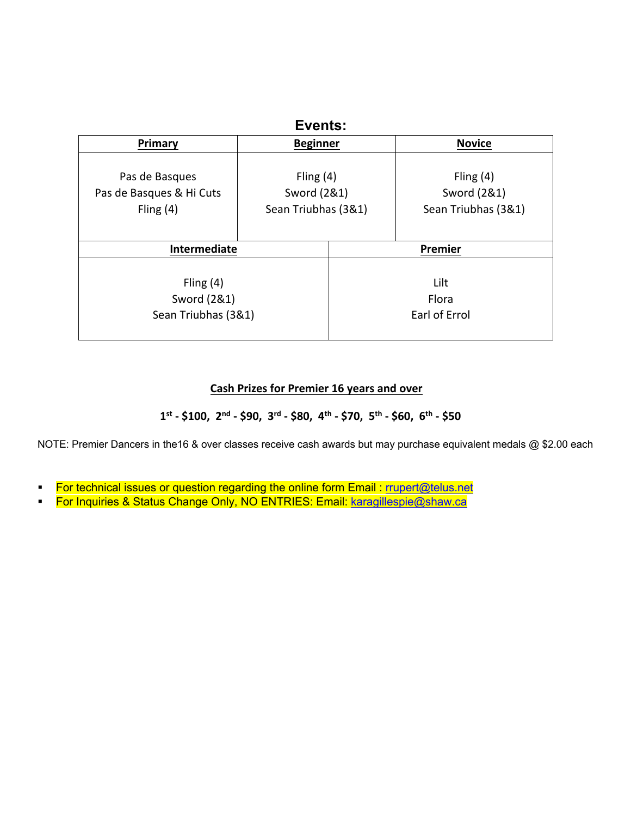| Events:                                                   |                                                   |                                |                                                   |  |
|-----------------------------------------------------------|---------------------------------------------------|--------------------------------|---------------------------------------------------|--|
| Primary                                                   | <b>Beginner</b>                                   |                                | <b>Novice</b>                                     |  |
| Pas de Basques<br>Pas de Basques & Hi Cuts<br>Fling $(4)$ | Fling $(4)$<br>Sword (2&1)<br>Sean Triubhas (3&1) |                                | Fling $(4)$<br>Sword (2&1)<br>Sean Triubhas (3&1) |  |
| Intermediate                                              |                                                   | Premier                        |                                                   |  |
| Fling $(4)$<br>Sword (2&1)<br>Sean Triubhas (3&1)         |                                                   | Lilt<br>Flora<br>Earl of Errol |                                                   |  |

## **Cash Prizes for Premier 16 years and over**

 **1st - \$100, 2nd - \$90, 3rd - \$80, 4th - \$70, 5th - \$60, 6th - \$50**

NOTE: Premier Dancers in the16 & over classes receive cash awards but may purchase equivalent medals @ \$2.00 each

- For technical issues or question regarding the online form Email : rrupert@telus.net
- For Inquiries & Status Change Only, NO ENTRIES: Email: karagillespie@shaw.ca